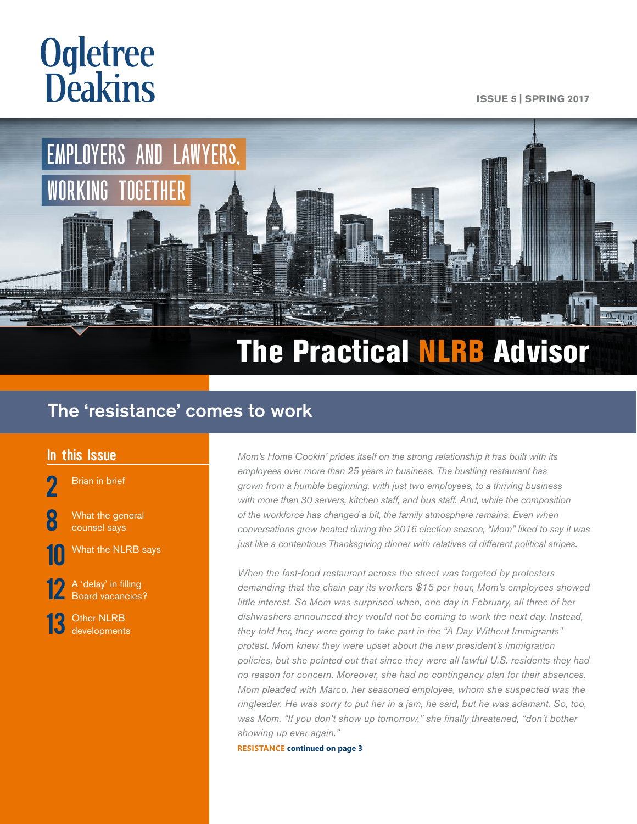# <span id="page-0-0"></span>**Ogletree Deakins**

**ISSUE 5 | SPRING 2017**



# The Practical NLRB Advisor

## The 'resistance' comes to work

[Brian in brief](#page-1-0)

**[8](#page-7-0)** What the general [counsel says](#page-7-0)



[10](#page-9-0) What the NLRB says

[12](#page-11-0) A 'delay' in filling<br>[Board vacancies?](#page-11-0)

[13](#page-12-0) Other NLRB<br> **3** [developments](#page-12-0)

In this Issue **Momis Home Cookin' prides itself on the strong relationship it has built with its In the strong relationship it has built with its** *employees over more than 25 years in business. The bustling restaurant has grown from a humble beginning, with just two employees, to a thriving business with more than 30 servers, kitchen staff, and bus staff. And, while the composition of the workforce has changed a bit, the family atmosphere remains. Even when conversations grew heated during the 2016 election season, "Mom" liked to say it was just like a contentious Thanksgiving dinner with relatives of different political stripes.*

> *When the fast-food restaurant across the street was targeted by protesters demanding that the chain pay its workers \$15 per hour, Mom's employees showed little interest. So Mom was surprised when, one day in February, all three of her dishwashers announced they would not be coming to work the next day. Instead, they told her, they were going to take part in the "A Day Without Immigrants" protest. Mom knew they were upset about the new president's immigration policies, but she pointed out that since they were all lawful U.S. residents they had no reason for concern. Moreover, she had no contingency plan for their absences. Mom pleaded with Marco, her seasoned employee, whom she suspected was the ringleader. He was sorry to put her in a jam, he said, but he was adamant. So, too, was Mom. "If you don't show up tomorrow," she finally threatened, "don't bother showing up ever again."*

**RESISTANCE [continued on page 3](#page-2-0)**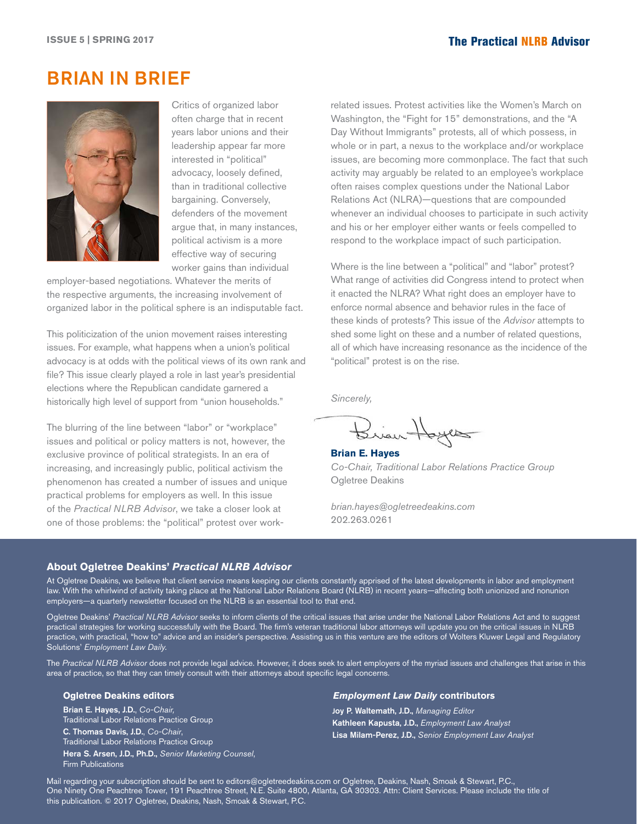### <span id="page-1-0"></span>BRIAN IN BRIEF



Critics of organized labor often charge that in recent years labor unions and their leadership appear far more interested in "political" advocacy, loosely defined, than in traditional collective bargaining. Conversely, defenders of the movement argue that, in many instances, political activism is a more effective way of securing worker gains than individual

employer-based negotiations. Whatever the merits of the respective arguments, the increasing involvement of organized labor in the political sphere is an indisputable fact.

This politicization of the union movement raises interesting issues. For example, what happens when a union's political advocacy is at odds with the political views of its own rank and file? This issue clearly played a role in last year's presidential elections where the Republican candidate garnered a historically high level of support from "union households."

The blurring of the line between "labor" or "workplace" issues and political or policy matters is not, however, the exclusive province of political strategists. In an era of increasing, and increasingly public, political activism the phenomenon has created a number of issues and unique practical problems for employers as well. In this issue of the *Practical NLRB Advisor*, we take a closer look at one of those problems: the "political" protest over workrelated issues. Protest activities like the Women's March on Washington, the "Fight for 15" demonstrations, and the "A Day Without Immigrants" protests, all of which possess, in whole or in part, a nexus to the workplace and/or workplace issues, are becoming more commonplace. The fact that such activity may arguably be related to an employee's workplace often raises complex questions under the National Labor Relations Act (NLRA)—questions that are compounded whenever an individual chooses to participate in such activity and his or her employer either wants or feels compelled to respond to the workplace impact of such participation.

Where is the line between a "political" and "labor" protest? What range of activities did Congress intend to protect when it enacted the NLRA? What right does an employer have to enforce normal absence and behavior rules in the face of these kinds of protests? This issue of the *Advisor* attempts to shed some light on these and a number of related questions, all of which have increasing resonance as the incidence of the "political" protest is on the rise.

*Sincerely,*

Brian Hoyes

**Brian E. Hayes** *Co-Chair, Traditional Labor Relations Practice Group* Ogletree Deakins

*brian.hayes@ogletreedeakins.com* 202.263.0261

#### **About Ogletree Deakins'** *Practical NLRB Advisor*

At Ogletree Deakins, we believe that client service means keeping our clients constantly apprised of the latest developments in labor and employment law. With the whirlwind of activity taking place at the National Labor Relations Board (NLRB) in recent years—affecting both unionized and nonunion employers—a quarterly newsletter focused on the NLRB is an essential tool to that end.

Ogletree Deakins' *Practical NLRB Advisor* seeks to inform clients of the critical issues that arise under the National Labor Relations Act and to suggest practical strategies for working successfully with the Board. The firm's veteran traditional labor attorneys will update you on the critical issues in NLRB practice, with practical, "how to" advice and an insider's perspective. Assisting us in this venture are the editors of Wolters Kluwer Legal and Regulatory Solutions' *Employment Law Daily.*

The *Practical NLRB Advisor* does not provide legal advice. However, it does seek to alert employers of the myriad issues and challenges that arise in this area of practice, so that they can timely consult with their attorneys about specific legal concerns.

#### **Ogletree Deakins editors**

Brian E. Hayes, J.D., *Co-Chair,* Traditional Labor Relations Practice Group C. Thomas Davis, J.D., *Co-Chair*, Traditional Labor Relations Practice Group Hera S. Arsen, J.D., Ph.D., *Senior Marketing Counsel*, Firm Publications

#### *Employment Law Daily* **contributors**

Joy P. Waltemath, J.D., *Managing Editor* Kathleen Kapusta, J.D., *Employment Law Analyst* Lisa Milam-Perez, J.D., *Senior Employment Law Analyst*

Mail regarding your subscription should be sent to editors@ogletreedeakins.com or Ogletree, Deakins, Nash, Smoak & Stewart, P.C., One Ninety One Peachtree Tower, 191 Peachtree Street, N.E. Suite 4800, Atlanta, GA 30303. Attn: Client Services. Please include the title of this publication. © 2017 Ogletree, Deakins, Nash, Smoak & Stewart, P.C.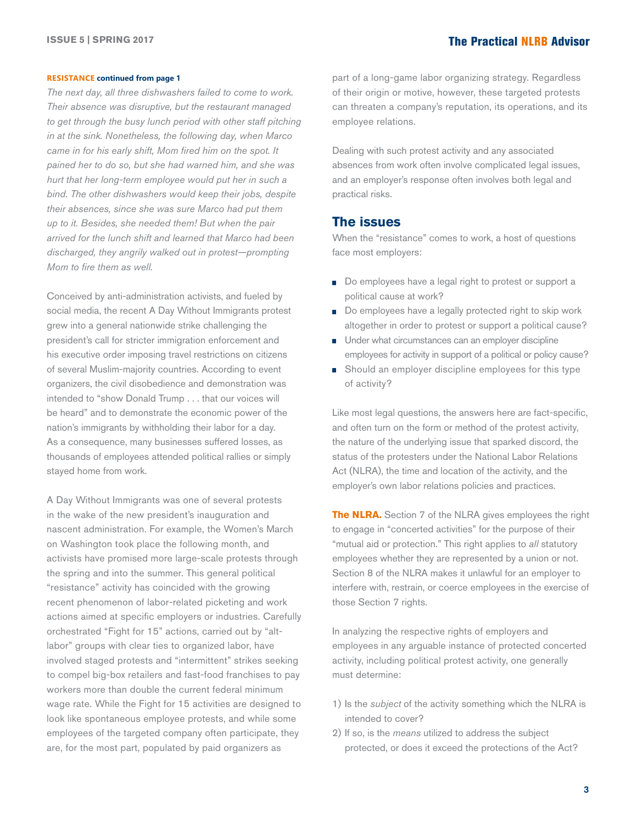#### <span id="page-2-0"></span>**RESISTANCE [continued from page 1](#page-0-0)**

*The next day, all three dishwashers failed to come to work. Their absence was disruptive, but the restaurant managed to get through the busy lunch period with other staff pitching in at the sink. Nonetheless, the following day, when Marco came in for his early shift, Mom fired him on the spot. It pained her to do so, but she had warned him, and she was hurt that her long-term employee would put her in such a bind. The other dishwashers would keep their jobs, despite their absences, since she was sure Marco had put them up to it. Besides, she needed them! But when the pair arrived for the lunch shift and learned that Marco had been discharged, they angrily walked out in protest—prompting Mom to fire them as well.*

Conceived by anti-administration activists, and fueled by social media, the recent A Day Without Immigrants protest grew into a general nationwide strike challenging the president's call for stricter immigration enforcement and his executive order imposing travel restrictions on citizens of several Muslim-majority countries. According to event organizers, the civil disobedience and demonstration was intended to "show Donald Trump . . . that our voices will be heard" and to demonstrate the economic power of the nation's immigrants by withholding their labor for a day. As a consequence, many businesses suffered losses, as thousands of employees attended political rallies or simply stayed home from work.

A Day Without Immigrants was one of several protests in the wake of the new president's inauguration and nascent administration. For example, the Women's March on Washington took place the following month, and activists have promised more large-scale protests through the spring and into the summer. This general political "resistance" activity has coincided with the growing recent phenomenon of labor-related picketing and work actions aimed at specific employers or industries. Carefully orchestrated "Fight for 15" actions, carried out by "altlabor" groups with clear ties to organized labor, have involved staged protests and "intermittent" strikes seeking to compel big-box retailers and fast-food franchises to pay workers more than double the current federal minimum wage rate. While the Fight for 15 activities are designed to look like spontaneous employee protests, and while some employees of the targeted company often participate, they are, for the most part, populated by paid organizers as

part of a long-game labor organizing strategy. Regardless of their origin or motive, however, these targeted protests can threaten a company's reputation, its operations, and its employee relations.

Dealing with such protest activity and any associated absences from work often involve complicated legal issues, and an employer's response often involves both legal and practical risks.

#### **The issues**

When the "resistance" comes to work, a host of questions face most employers:

- Do employees have a legal right to protest or support a political cause at work?
- Do employees have a legally protected right to skip work altogether in order to protest or support a political cause?
- **Under what circumstances can an employer discipline** employees for activity in support of a political or policy cause?
- Should an employer discipline employees for this type of activity?

Like most legal questions, the answers here are fact-specific, and often turn on the form or method of the protest activity, the nature of the underlying issue that sparked discord, the status of the protesters under the National Labor Relations Act (NLRA), the time and location of the activity, and the employer's own labor relations policies and practices.

**The NLRA.** Section 7 of the NLRA gives employees the right to engage in "concerted activities" for the purpose of their "mutual aid or protection." This right applies to *all* statutory employees whether they are represented by a union or not. Section 8 of the NLRA makes it unlawful for an employer to interfere with, restrain, or coerce employees in the exercise of those Section 7 rights.

In analyzing the respective rights of employers and employees in any arguable instance of protected concerted activity, including political protest activity, one generally must determine:

- 1) Is the *subject* of the activity something which the NLRA is intended to cover?
- 2) If so, is the *means* utilized to address the subject protected, or does it exceed the protections of the Act?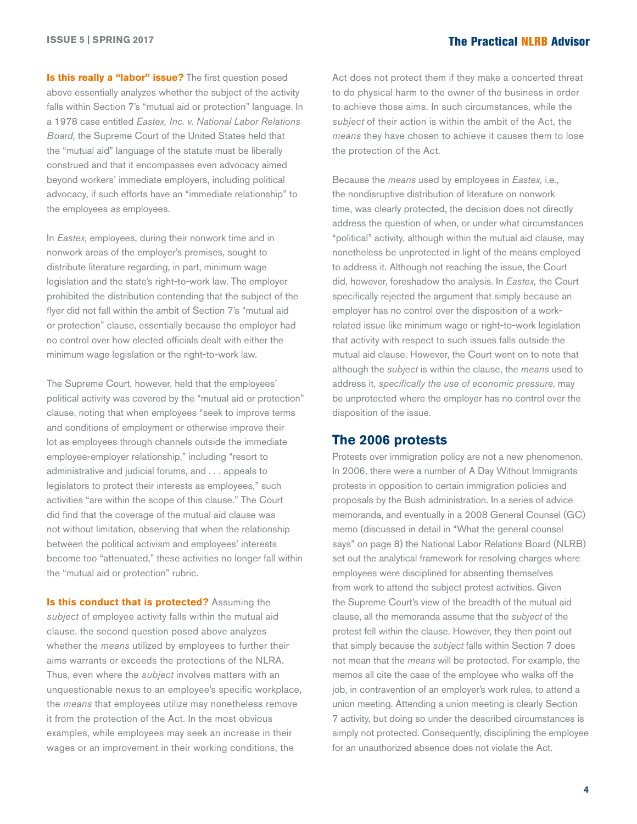**Is this really a "labor" issue?** The first question posed above essentially analyzes whether the subject of the activity falls within Section 7's "mutual aid or protection" language. In a 1978 case entitled *Eastex, Inc. v. National Labor Relations Board,* the Supreme Court of the United States held that the "mutual aid" language of the statute must be liberally construed and that it encompasses even advocacy aimed beyond workers' immediate employers, including political advocacy, if such efforts have an "immediate relationship" to the employees *as* employees.

In *Eastex,* employees, during their nonwork time and in nonwork areas of the employer's premises, sought to distribute literature regarding, in part, minimum wage legislation and the state's right-to-work law. The employer prohibited the distribution contending that the subject of the flyer did not fall within the ambit of Section 7's "mutual aid or protection" clause, essentially because the employer had no control over how elected officials dealt with either the minimum wage legislation or the right-to-work law.

The Supreme Court, however, held that the employees' political activity was covered by the "mutual aid or protection" clause, noting that when employees "seek to improve terms and conditions of employment or otherwise improve their lot as employees through channels outside the immediate employee-employer relationship," including "resort to administrative and judicial forums, and . . . appeals to legislators to protect their interests as employees," such activities "are within the scope of this clause." The Court did find that the coverage of the mutual aid clause was not without limitation, observing that when the relationship between the political activism and employees' interests become too "attenuated," these activities no longer fall within the "mutual aid or protection" rubric.

**Is this conduct that is protected?** Assuming the *subject* of employee activity falls within the mutual aid clause, the second question posed above analyzes whether the *means* utilized by employees to further their aims warrants or exceeds the protections of the NLRA. Thus, even where the *subject* involves matters with an unquestionable nexus to an employee's specific workplace, the *means* that employees utilize may nonetheless remove it from the protection of the Act. In the most obvious examples, while employees may seek an increase in their wages or an improvement in their working conditions, the

Act does not protect them if they make a concerted threat to do physical harm to the owner of the business in order to achieve those aims. In such circumstances, while the *subject* of their action is within the ambit of the Act, the *means* they have chosen to achieve it causes them to lose the protection of the Act.

Because the *means* used by employees in *Eastex,* i.e., the nondisruptive distribution of literature on nonwork time, was clearly protected, the decision does not directly address the question of when, or under what circumstances "political" activity, although within the mutual aid clause, may nonetheless be unprotected in light of the means employed to address it. Although not reaching the issue, the Court did, however, foreshadow the analysis. In *Eastex,* the Court specifically rejected the argument that simply because an employer has no control over the disposition of a workrelated issue like minimum wage or right-to-work legislation that activity with respect to such issues falls outside the mutual aid clause. However, the Court went on to note that although the *subject* is within the clause, the *means* used to address it*, specifically the use of economic pressure*, may be unprotected where the employer has no control over the disposition of the issue.

#### **The 2006 protests**

Protests over immigration policy are not a new phenomenon. In 2006, there were a number of A Day Without Immigrants protests in opposition to certain immigration policies and proposals by the Bush administration. In a series of advice memoranda, and eventually in a 2008 General Counsel (GC) memo (discussed in detail in "What the general counsel says" on page 8) the National Labor Relations Board (NLRB) set out the analytical framework for resolving charges where employees were disciplined for absenting themselves from work to attend the subject protest activities. Given the Supreme Court's view of the breadth of the mutual aid clause, all the memoranda assume that the *subject* of the protest fell within the clause. However, they then point out that simply because the *subject* falls within Section 7 does not mean that the *means* will be protected. For example, the memos all cite the case of the employee who walks off the job, in contravention of an employer's work rules, to attend a union meeting. Attending a union meeting is clearly Section 7 activity, but doing so under the described circumstances is simply not protected. Consequently, disciplining the employee for an unauthorized absence does not violate the Act.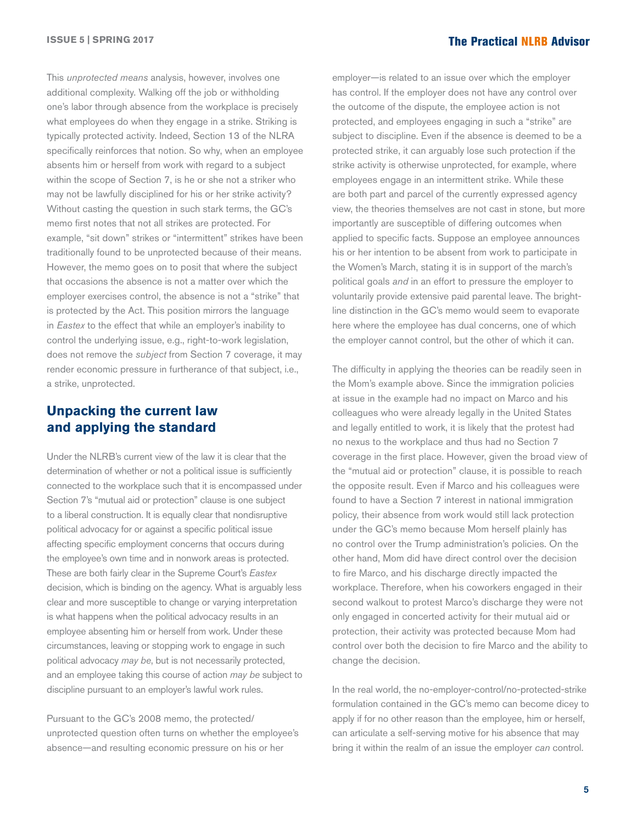This *unprotected means* analysis, however, involves one additional complexity. Walking off the job or withholding one's labor through absence from the workplace is precisely what employees do when they engage in a strike. Striking is typically protected activity. Indeed, Section 13 of the NLRA specifically reinforces that notion. So why, when an employee absents him or herself from work with regard to a subject within the scope of Section 7, is he or she not a striker who may not be lawfully disciplined for his or her strike activity? Without casting the question in such stark terms, the GC's memo first notes that not all strikes are protected. For example, "sit down" strikes or "intermittent" strikes have been traditionally found to be unprotected because of their means. However, the memo goes on to posit that where the subject that occasions the absence is not a matter over which the employer exercises control, the absence is not a "strike" that is protected by the Act. This position mirrors the language in *Eastex* to the effect that while an employer's inability to control the underlying issue, e.g., right-to-work legislation, does not remove the *subject* from Section 7 coverage, it may render economic pressure in furtherance of that subject, i.e., a strike, unprotected.

### **Unpacking the current law and applying the standard**

Under the NLRB's current view of the law it is clear that the determination of whether or not a political issue is sufficiently connected to the workplace such that it is encompassed under Section 7's "mutual aid or protection" clause is one subject to a liberal construction. It is equally clear that nondisruptive political advocacy for or against a specific political issue affecting specific employment concerns that occurs during the employee's own time and in nonwork areas is protected. These are both fairly clear in the Supreme Court's *Eastex*  decision, which is binding on the agency. What is arguably less clear and more susceptible to change or varying interpretation is what happens when the political advocacy results in an employee absenting him or herself from work. Under these circumstances, leaving or stopping work to engage in such political advocacy *may be*, but is not necessarily protected, and an employee taking this course of action *may be* subject to discipline pursuant to an employer's lawful work rules.

Pursuant to the GC's 2008 memo, the protected/ unprotected question often turns on whether the employee's absence—and resulting economic pressure on his or her

employer—is related to an issue over which the employer has control. If the employer does not have any control over the outcome of the dispute, the employee action is not protected, and employees engaging in such a "strike" are subject to discipline. Even if the absence is deemed to be a protected strike, it can arguably lose such protection if the strike activity is otherwise unprotected, for example, where employees engage in an intermittent strike. While these are both part and parcel of the currently expressed agency view, the theories themselves are not cast in stone, but more importantly are susceptible of differing outcomes when applied to specific facts. Suppose an employee announces his or her intention to be absent from work to participate in the Women's March, stating it is in support of the march's political goals *and* in an effort to pressure the employer to voluntarily provide extensive paid parental leave. The brightline distinction in the GC's memo would seem to evaporate here where the employee has dual concerns, one of which the employer cannot control, but the other of which it can.

The difficulty in applying the theories can be readily seen in the Mom's example above. Since the immigration policies at issue in the example had no impact on Marco and his colleagues who were already legally in the United States and legally entitled to work, it is likely that the protest had no nexus to the workplace and thus had no Section 7 coverage in the first place. However, given the broad view of the "mutual aid or protection" clause, it is possible to reach the opposite result. Even if Marco and his colleagues were found to have a Section 7 interest in national immigration policy, their absence from work would still lack protection under the GC's memo because Mom herself plainly has no control over the Trump administration's policies. On the other hand, Mom did have direct control over the decision to fire Marco, and his discharge directly impacted the workplace. Therefore, when his coworkers engaged in their second walkout to protest Marco's discharge they were not only engaged in concerted activity for their mutual aid or protection, their activity was protected because Mom had control over both the decision to fire Marco and the ability to change the decision.

In the real world, the no-employer-control/no-protected-strike formulation contained in the GC's memo can become dicey to apply if for no other reason than the employee, him or herself, can articulate a self-serving motive for his absence that may bring it within the realm of an issue the employer *can* control.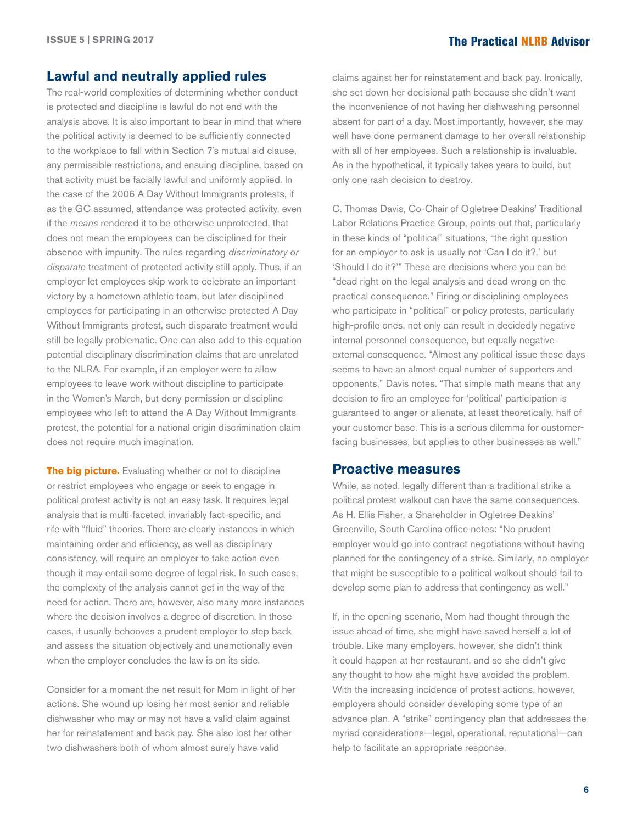#### **Lawful and neutrally applied rules**

The real-world complexities of determining whether conduct is protected and discipline is lawful do not end with the analysis above. It is also important to bear in mind that where the political activity is deemed to be sufficiently connected to the workplace to fall within Section 7's mutual aid clause, any permissible restrictions, and ensuing discipline, based on that activity must be facially lawful and uniformly applied. In the case of the 2006 A Day Without Immigrants protests, if as the GC assumed, attendance was protected activity, even if the *means* rendered it to be otherwise unprotected, that does not mean the employees can be disciplined for their absence with impunity. The rules regarding *discriminatory or disparate* treatment of protected activity still apply. Thus, if an employer let employees skip work to celebrate an important victory by a hometown athletic team, but later disciplined employees for participating in an otherwise protected A Day Without Immigrants protest, such disparate treatment would still be legally problematic. One can also add to this equation potential disciplinary discrimination claims that are unrelated to the NLRA. For example, if an employer were to allow employees to leave work without discipline to participate in the Women's March, but deny permission or discipline employees who left to attend the A Day Without Immigrants protest, the potential for a national origin discrimination claim does not require much imagination.

**The big picture.** Evaluating whether or not to discipline or restrict employees who engage or seek to engage in political protest activity is not an easy task. It requires legal analysis that is multi-faceted, invariably fact-specific, and rife with "fluid" theories. There are clearly instances in which maintaining order and efficiency, as well as disciplinary consistency, will require an employer to take action even though it may entail some degree of legal risk. In such cases, the complexity of the analysis cannot get in the way of the need for action. There are, however, also many more instances where the decision involves a degree of discretion. In those cases, it usually behooves a prudent employer to step back and assess the situation objectively and unemotionally even when the employer concludes the law is on its side.

Consider for a moment the net result for Mom in light of her actions. She wound up losing her most senior and reliable dishwasher who may or may not have a valid claim against her for reinstatement and back pay. She also lost her other two dishwashers both of whom almost surely have valid

claims against her for reinstatement and back pay. Ironically, she set down her decisional path because she didn't want the inconvenience of not having her dishwashing personnel absent for part of a day. Most importantly, however, she may well have done permanent damage to her overall relationship with all of her employees. Such a relationship is invaluable. As in the hypothetical, it typically takes years to build, but only one rash decision to destroy.

C. Thomas Davis, Co-Chair of Ogletree Deakins' Traditional Labor Relations Practice Group, points out that, particularly in these kinds of "political" situations, "the right question for an employer to ask is usually not 'Can I do it?,' but 'Should I do it?'" These are decisions where you can be "dead right on the legal analysis and dead wrong on the practical consequence." Firing or disciplining employees who participate in "political" or policy protests, particularly high-profile ones, not only can result in decidedly negative internal personnel consequence, but equally negative external consequence. "Almost any political issue these days seems to have an almost equal number of supporters and opponents," Davis notes. "That simple math means that any decision to fire an employee for 'political' participation is guaranteed to anger or alienate, at least theoretically, half of your customer base. This is a serious dilemma for customerfacing businesses, but applies to other businesses as well."

#### **Proactive measures**

While, as noted, legally different than a traditional strike a political protest walkout can have the same consequences. As H. Ellis Fisher, a Shareholder in Ogletree Deakins' Greenville, South Carolina office notes: "No prudent employer would go into contract negotiations without having planned for the contingency of a strike. Similarly, no employer that might be susceptible to a political walkout should fail to develop some plan to address that contingency as well."

If, in the opening scenario, Mom had thought through the issue ahead of time, she might have saved herself a lot of trouble. Like many employers, however, she didn't think it could happen at her restaurant, and so she didn't give any thought to how she might have avoided the problem. With the increasing incidence of protest actions, however, employers should consider developing some type of an advance plan. A "strike" contingency plan that addresses the myriad considerations—legal, operational, reputational—can help to facilitate an appropriate response.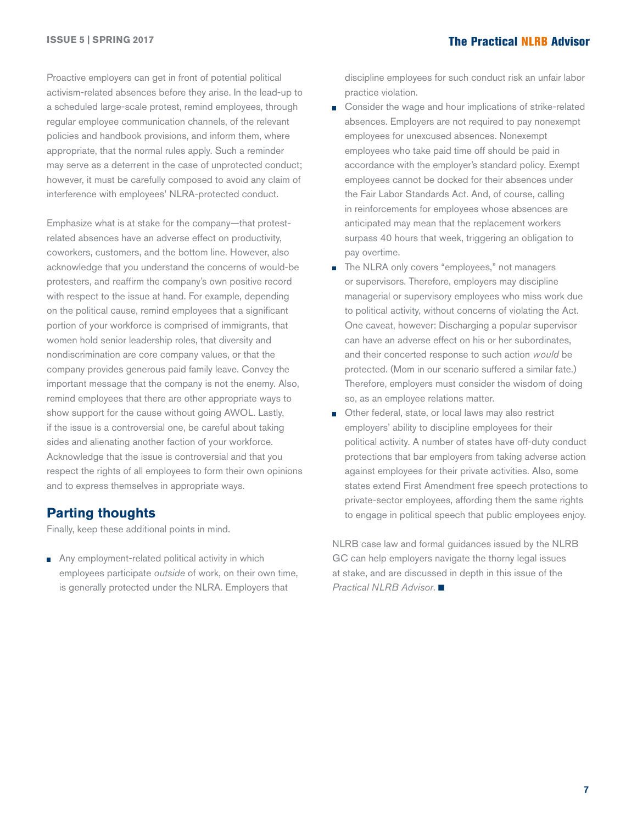Proactive employers can get in front of potential political activism-related absences before they arise. In the lead-up to a scheduled large-scale protest, remind employees, through regular employee communication channels, of the relevant policies and handbook provisions, and inform them, where appropriate, that the normal rules apply. Such a reminder may serve as a deterrent in the case of unprotected conduct; however, it must be carefully composed to avoid any claim of interference with employees' NLRA-protected conduct.

Emphasize what is at stake for the company—that protestrelated absences have an adverse effect on productivity, coworkers, customers, and the bottom line. However, also acknowledge that you understand the concerns of would-be protesters, and reaffirm the company's own positive record with respect to the issue at hand. For example, depending on the political cause, remind employees that a significant portion of your workforce is comprised of immigrants, that women hold senior leadership roles, that diversity and nondiscrimination are core company values, or that the company provides generous paid family leave. Convey the important message that the company is not the enemy. Also, remind employees that there are other appropriate ways to show support for the cause without going AWOL. Lastly, if the issue is a controversial one, be careful about taking sides and alienating another faction of your workforce. Acknowledge that the issue is controversial and that you respect the rights of all employees to form their own opinions and to express themselves in appropriate ways.

### **Parting thoughts**

Finally, keep these additional points in mind.

Any employment-related political activity in which employees participate *outside* of work, on their own time, is generally protected under the NLRA. Employers that

discipline employees for such conduct risk an unfair labor practice violation.

- Consider the wage and hour implications of strike-related absences. Employers are not required to pay nonexempt employees for unexcused absences. Nonexempt employees who take paid time off should be paid in accordance with the employer's standard policy. Exempt employees cannot be docked for their absences under the Fair Labor Standards Act. And, of course, calling in reinforcements for employees whose absences are anticipated may mean that the replacement workers surpass 40 hours that week, triggering an obligation to pay overtime.
- a. The NLRA only covers "employees," not managers or supervisors. Therefore, employers may discipline managerial or supervisory employees who miss work due to political activity, without concerns of violating the Act. One caveat, however: Discharging a popular supervisor can have an adverse effect on his or her subordinates, and their concerted response to such action *would* be protected. (Mom in our scenario suffered a similar fate.) Therefore, employers must consider the wisdom of doing so, as an employee relations matter.
- Other federal, state, or local laws may also restrict m. employers' ability to discipline employees for their political activity. A number of states have off-duty conduct protections that bar employers from taking adverse action against employees for their private activities. Also, some states extend First Amendment free speech protections to private-sector employees, affording them the same rights to engage in political speech that public employees enjoy.

NLRB case law and formal guidances issued by the NLRB GC can help employers navigate the thorny legal issues at stake, and are discussed in depth in this issue of the *Practical NLRB Advisor.*■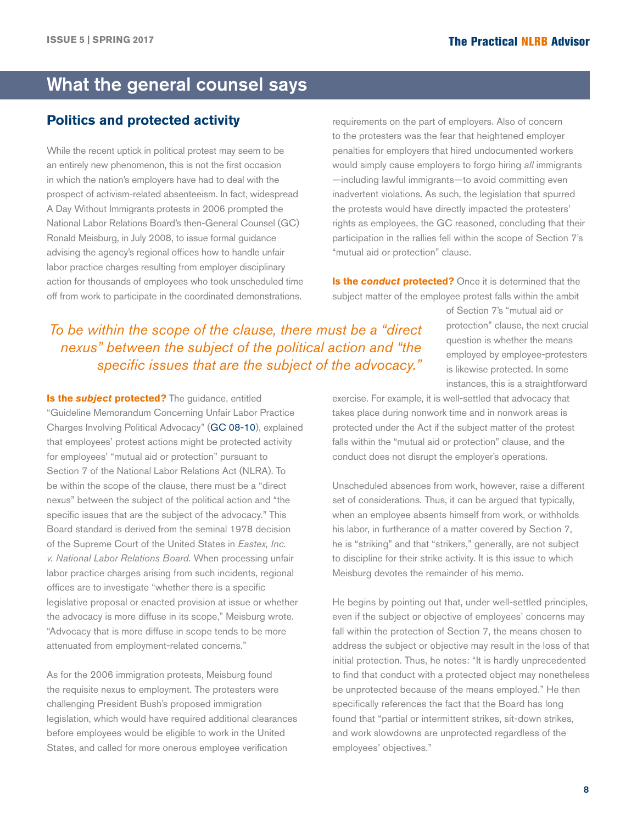## <span id="page-7-0"></span>What the general counsel says

### **Politics and protected activity**

While the recent uptick in political protest may seem to be an entirely new phenomenon, this is not the first occasion in which the nation's employers have had to deal with the prospect of activism-related absenteeism. In fact, widespread A Day Without Immigrants protests in 2006 prompted the National Labor Relations Board's then-General Counsel (GC) Ronald Meisburg, in July 2008, to issue formal guidance advising the agency's regional offices how to handle unfair labor practice charges resulting from employer disciplinary action for thousands of employees who took unscheduled time off from work to participate in the coordinated demonstrations.

requirements on the part of employers. Also of concern to the protesters was the fear that heightened employer penalties for employers that hired undocumented workers would simply cause employers to forgo hiring *all* immigrants —including lawful immigrants—to avoid committing even inadvertent violations. As such, the legislation that spurred the protests would have directly impacted the protesters' rights as employees, the GC reasoned, concluding that their participation in the rallies fell within the scope of Section 7's "mutual aid or protection" clause.

**Is the conduct protected?** Once it is determined that the subject matter of the employee protest falls within the ambit

*To be within the scope of the clause, there must be a "direct nexus" between the subject of the political action and "the specific issues that are the subject of the advocacy."*

**Is the** *subject* **protected?** The guidance, entitled "Guideline Memorandum Concerning Unfair Labor Practice Charges Involving Political Advocacy" [\(GC 08-10\)](http://hr.cch.com/ELD/NLRBGC08-10.pdf), explained that employees' protest actions might be protected activity for employees' "mutual aid or protection" pursuant to Section 7 of the National Labor Relations Act (NLRA). To be within the scope of the clause, there must be a "direct nexus" between the subject of the political action and "the specific issues that are the subject of the advocacy." This Board standard is derived from the seminal 1978 decision of the Supreme Court of the United States in *Eastex, Inc. v. National Labor Relations Board*. When processing unfair labor practice charges arising from such incidents, regional offices are to investigate "whether there is a specific legislative proposal or enacted provision at issue or whether the advocacy is more diffuse in its scope," Meisburg wrote. "Advocacy that is more diffuse in scope tends to be more attenuated from employment-related concerns."

As for the 2006 immigration protests, Meisburg found the requisite nexus to employment. The protesters were challenging President Bush's proposed immigration legislation, which would have required additional clearances before employees would be eligible to work in the United States, and called for more onerous employee verification

of Section 7's "mutual aid or protection" clause, the next crucial question is whether the means employed by employee-protesters is likewise protected. In some instances, this is a straightforward

exercise. For example, it is well-settled that advocacy that takes place during nonwork time and in nonwork areas is protected under the Act if the subject matter of the protest falls within the "mutual aid or protection" clause, and the conduct does not disrupt the employer's operations.

Unscheduled absences from work, however, raise a different set of considerations. Thus, it can be argued that typically, when an employee absents himself from work, or withholds his labor, in furtherance of a matter covered by Section 7, he is "striking" and that "strikers," generally, are not subject to discipline for their strike activity. It is this issue to which Meisburg devotes the remainder of his memo.

He begins by pointing out that, under well-settled principles, even if the subject or objective of employees' concerns may fall within the protection of Section 7, the means chosen to address the subject or objective may result in the loss of that initial protection. Thus, he notes: "It is hardly unprecedented to find that conduct with a protected object may nonetheless be unprotected because of the means employed." He then specifically references the fact that the Board has long found that "partial or intermittent strikes, sit-down strikes, and work slowdowns are unprotected regardless of the employees' objectives."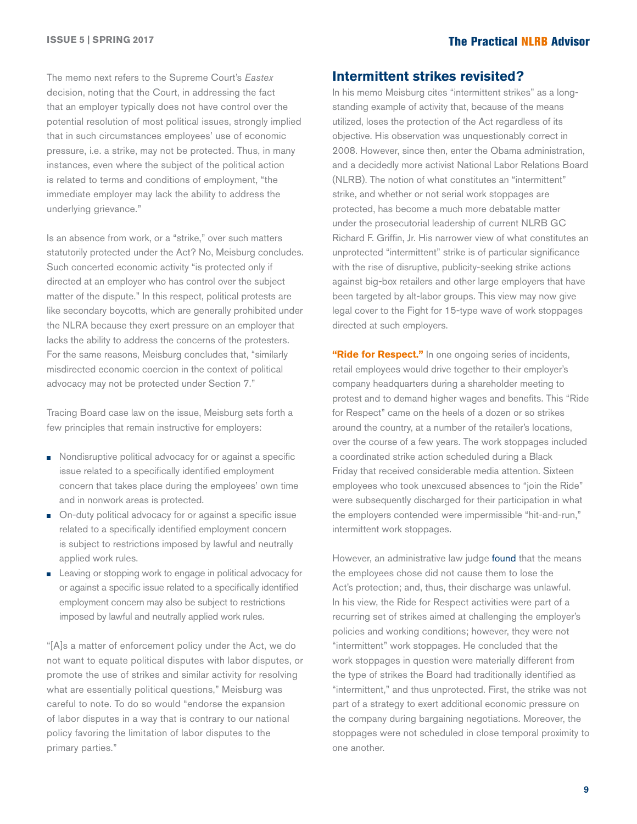The memo next refers to the Supreme Court's *Eastex*  decision, noting that the Court, in addressing the fact that an employer typically does not have control over the potential resolution of most political issues, strongly implied that in such circumstances employees' use of economic pressure, i.e. a strike, may not be protected. Thus, in many instances, even where the subject of the political action is related to terms and conditions of employment, "the immediate employer may lack the ability to address the underlying grievance."

Is an absence from work, or a "strike," over such matters statutorily protected under the Act? No, Meisburg concludes. Such concerted economic activity "is protected only if directed at an employer who has control over the subject matter of the dispute." In this respect, political protests are like secondary boycotts, which are generally prohibited under the NLRA because they exert pressure on an employer that lacks the ability to address the concerns of the protesters. For the same reasons, Meisburg concludes that, "similarly misdirected economic coercion in the context of political advocacy may not be protected under Section 7."

Tracing Board case law on the issue, Meisburg sets forth a few principles that remain instructive for employers:

- Nondisruptive political advocacy for or against a specific issue related to a specifically identified employment concern that takes place during the employees' own time and in nonwork areas is protected.
- On-duty political advocacy for or against a specific issue П related to a specifically identified employment concern is subject to restrictions imposed by lawful and neutrally applied work rules.
- Leaving or stopping work to engage in political advocacy for or against a specific issue related to a specifically identified employment concern may also be subject to restrictions imposed by lawful and neutrally applied work rules.

"[A]s a matter of enforcement policy under the Act, we do not want to equate political disputes with labor disputes, or promote the use of strikes and similar activity for resolving what are essentially political questions," Meisburg was careful to note. To do so would "endorse the expansion of labor disputes in a way that is contrary to our national policy favoring the limitation of labor disputes to the primary parties."

#### **Intermittent strikes revisited?**

In his memo Meisburg cites "intermittent strikes" as a longstanding example of activity that, because of the means utilized, loses the protection of the Act regardless of its objective. His observation was unquestionably correct in 2008. However, since then, enter the Obama administration, and a decidedly more activist National Labor Relations Board (NLRB). The notion of what constitutes an "intermittent" strike, and whether or not serial work stoppages are protected, has become a much more debatable matter under the prosecutorial leadership of current NLRB GC Richard F. Griffin, Jr. His narrower view of what constitutes an unprotected "intermittent" strike is of particular significance with the rise of disruptive, publicity-seeking strike actions against big-box retailers and other large employers that have been targeted by alt-labor groups. This view may now give legal cover to the Fight for 15-type wave of work stoppages directed at such employers.

**"Ride for Respect."** In one ongoing series of incidents, retail employees would drive together to their employer's company headquarters during a shareholder meeting to protest and to demand higher wages and benefits. This "Ride for Respect" came on the heels of a dozen or so strikes around the country, at a number of the retailer's locations, over the course of a few years. The work stoppages included a coordinated strike action scheduled during a Black Friday that received considerable media attention. Sixteen employees who took unexcused absences to "join the Ride" were subsequently discharged for their participation in what the employers contended were impermissible "hit-and-run," intermittent work stoppages.

However, an administrative law judge [found](http://hr.cch.com/ELD/WalmartALJ012116.pdf) that the means the employees chose did not cause them to lose the Act's protection; and, thus, their discharge was unlawful. In his view, the Ride for Respect activities were part of a recurring set of strikes aimed at challenging the employer's policies and working conditions; however, they were not "intermittent" work stoppages. He concluded that the work stoppages in question were materially different from the type of strikes the Board had traditionally identified as "intermittent," and thus unprotected. First, the strike was not part of a strategy to exert additional economic pressure on the company during bargaining negotiations. Moreover, the stoppages were not scheduled in close temporal proximity to one another.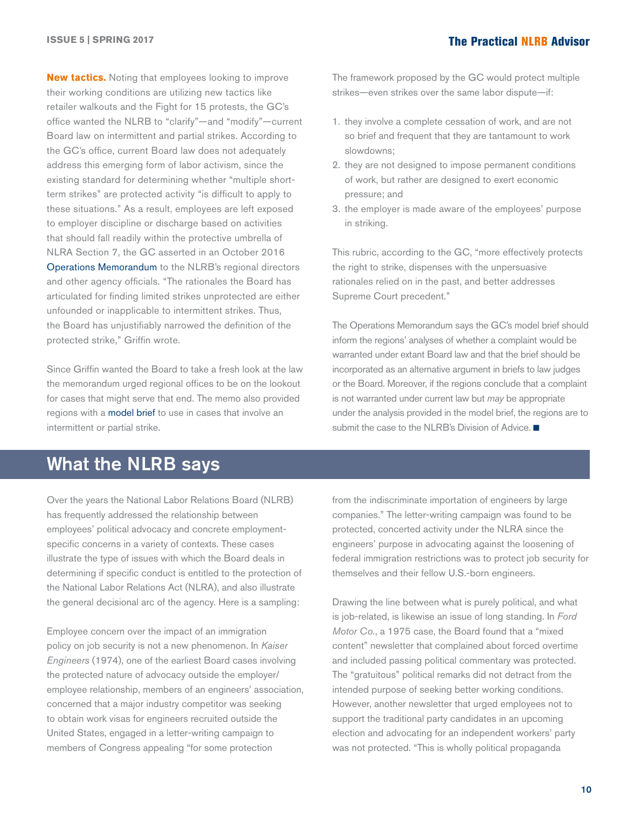<span id="page-9-0"></span>**New tactics.** Noting that employees looking to improve their working conditions are utilizing new tactics like retailer walkouts and the Fight for 15 protests, the GC's office wanted the NLRB to "clarify"—and "modify"—current Board law on intermittent and partial strikes. According to the GC's office, current Board law does not adequately address this emerging form of labor activism, since the existing standard for determining whether "multiple shortterm strikes" are protected activity "is difficult to apply to these situations." As a result, employees are left exposed to employer discipline or discharge based on activities that should fall readily within the protective umbrella of NLRA Section 7, the GC asserted in an October 2016 [Operations Memorandum](http://hr.cch.com/ELD/ModelBriefOM10316.pdf) to the NLRB's regional directors and other agency officials. "The rationales the Board has articulated for finding limited strikes unprotected are either unfounded or inapplicable to intermittent strikes. Thus, the Board has unjustifiably narrowed the definition of the protected strike," Griffin wrote.

Since Griffin wanted the Board to take a fresh look at the law the memorandum urged regional offices to be on the lookout for cases that might serve that end. The memo also provided regions with a [model brief](http://hr.cch.com/ELD/IntermittentStrikesInsert.pdf) to use in cases that involve an intermittent or partial strike.

## What the NLRB says

Over the years the National Labor Relations Board (NLRB) has frequently addressed the relationship between employees' political advocacy and concrete employmentspecific concerns in a variety of contexts. These cases illustrate the type of issues with which the Board deals in determining if specific conduct is entitled to the protection of the National Labor Relations Act (NLRA), and also illustrate the general decisional arc of the agency. Here is a sampling:

Employee concern over the impact of an immigration policy on job security is not a new phenomenon. In *Kaiser Engineers* (1974), one of the earliest Board cases involving the protected nature of advocacy outside the employer/ employee relationship, members of an engineers' association, concerned that a major industry competitor was seeking to obtain work visas for engineers recruited outside the United States, engaged in a letter-writing campaign to members of Congress appealing "for some protection

The framework proposed by the GC would protect multiple strikes—even strikes over the same labor dispute—if:

- 1. they involve a complete cessation of work, and are not so brief and frequent that they are tantamount to work slowdowns;
- 2. they are not designed to impose permanent conditions of work, but rather are designed to exert economic pressure; and
- 3. the employer is made aware of the employees' purpose in striking.

This rubric, according to the GC, "more effectively protects the right to strike, dispenses with the unpersuasive rationales relied on in the past, and better addresses Supreme Court precedent."

The Operations Memorandum says the GC's model brief should inform the regions' analyses of whether a complaint would be warranted under extant Board law and that the brief should be incorporated as an alternative argument in briefs to law judges or the Board. Moreover, if the regions conclude that a complaint is not warranted under current law but *may* be appropriate under the analysis provided in the model brief, the regions are to submit the case to the NLRB's Division of Advice.  $\blacksquare$ 

from the indiscriminate importation of engineers by large companies." The letter-writing campaign was found to be protected, concerted activity under the NLRA since the engineers' purpose in advocating against the loosening of federal immigration restrictions was to protect job security for themselves and their fellow U.S.-born engineers.

Drawing the line between what is purely political, and what is job-related, is likewise an issue of long standing. In *Ford Motor Co.*, a 1975 case, the Board found that a "mixed content" newsletter that complained about forced overtime and included passing political commentary was protected. The "gratuitous" political remarks did not detract from the intended purpose of seeking better working conditions. However, another newsletter that urged employees not to support the traditional party candidates in an upcoming election and advocating for an independent workers' party was not protected. "This is wholly political propaganda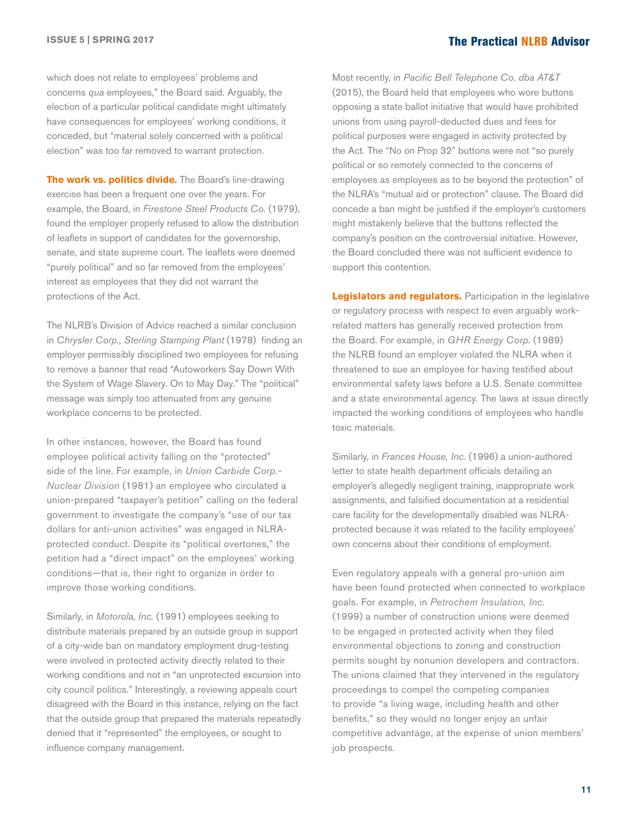which does not relate to employees' problems and concerns *qua* employees," the Board said. Arguably, the election of a particular political candidate might ultimately have consequences for employees' working conditions, it conceded, but "material solely concerned with a political election" was too far removed to warrant protection.

**The work vs. politics divide.** The Board's line-drawing exercise has been a frequent one over the years. For example, the Board, in *Firestone Steel Products Co.* (1979), found the employer properly refused to allow the distribution of leaflets in support of candidates for the governorship, senate, and state supreme court. The leaflets were deemed "purely political" and so far removed from the employees' interest as employees that they did not warrant the protections of the Act.

The NLRB's Division of Advice reached a similar conclusion in *Chrysler Corp., Sterling Stamping Plant* (1978) finding an employer permissibly disciplined two employees for refusing to remove a banner that read "Autoworkers Say Down With the System of Wage Slavery. On to May Day." The "political" message was simply too attenuated from any genuine workplace concerns to be protected.

In other instances, however, the Board has found employee political activity falling on the "protected" side of the line. For example, in *Union Carbide Corp.- Nuclear Division* (1981) an employee who circulated a union-prepared "taxpayer's petition" calling on the federal government to investigate the company's "use of our tax dollars for anti-union activities" was engaged in NLRAprotected conduct. Despite its "political overtones," the petition had a "direct impact" on the employees' working conditions—that is, their right to organize in order to improve those working conditions.

Similarly, in *Motorola, Inc.* (1991) employees seeking to distribute materials prepared by an outside group in support of a city-wide ban on mandatory employment drug-testing were involved in protected activity directly related to their working conditions and not in "an unprotected excursion into city council politics." Interestingly, a reviewing appeals court disagreed with the Board in this instance, relying on the fact that the outside group that prepared the materials repeatedly denied that it "represented" the employees, or sought to influence company management.

Most recently, in *Pacific Bell Telephone Co. dba AT&T* (2015), the Board held that employees who wore buttons opposing a state ballot initiative that would have prohibited unions from using payroll-deducted dues and fees for political purposes were engaged in activity protected by the Act. The "No on Prop 32" buttons were not "so purely political or so remotely connected to the concerns of employees as employees as to be beyond the protection" of the NLRA's "mutual aid or protection" clause. The Board did concede a ban might be justified if the employer's customers might mistakenly believe that the buttons reflected the company's position on the controversial initiative. However, the Board concluded there was not sufficient evidence to support this contention.

**Legislators and regulators.** Participation in the legislative or regulatory process with respect to even arguably workrelated matters has generally received protection from the Board. For example, in *GHR Energy Corp.* (1989) the NLRB found an employer violated the NLRA when it threatened to sue an employee for having testified about environmental safety laws before a U.S. Senate committee and a state environmental agency. The laws at issue directly impacted the working conditions of employees who handle toxic materials.

Similarly, in *Frances House, Inc.* (1996) a union-authored letter to state health department officials detailing an employer's allegedly negligent training, inappropriate work assignments, and falsified documentation at a residential care facility for the developmentally disabled was NLRAprotected because it was related to the facility employees' own concerns about their conditions of employment.

Even regulatory appeals with a general pro-union aim have been found protected when connected to workplace goals. For example, in *Petrochem Insulation, Inc.* (1999) a number of construction unions were deemed to be engaged in protected activity when they filed environmental objections to zoning and construction permits sought by nonunion developers and contractors. The unions claimed that they intervened in the regulatory proceedings to compel the competing companies to provide "a living wage, including health and other benefits," so they would no longer enjoy an unfair competitive advantage, at the expense of union members' job prospects.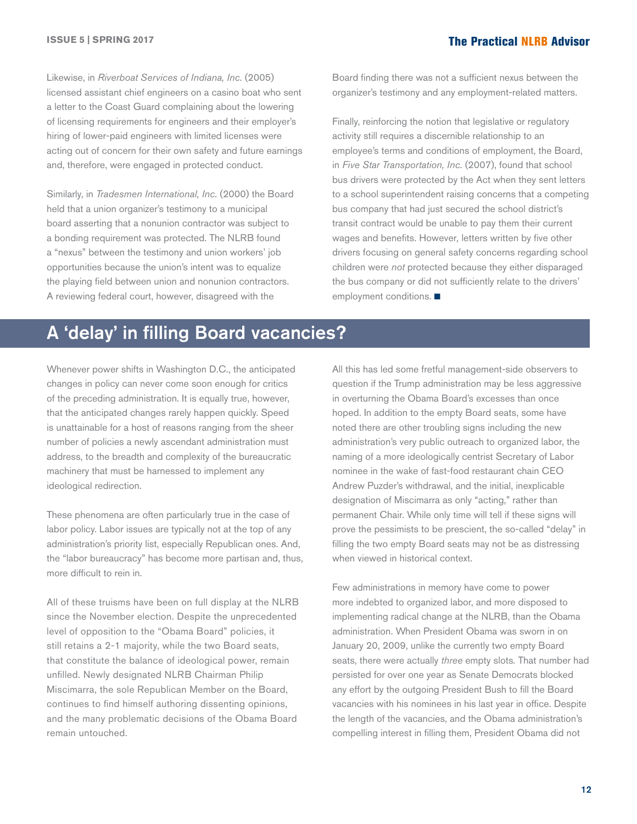<span id="page-11-0"></span>Likewise, in *Riverboat Services of Indiana, Inc.* (2005) licensed assistant chief engineers on a casino boat who sent a letter to the Coast Guard complaining about the lowering of licensing requirements for engineers and their employer's hiring of lower-paid engineers with limited licenses were acting out of concern for their own safety and future earnings and, therefore, were engaged in protected conduct.

Similarly, in *Tradesmen International, Inc.* (2000) the Board held that a union organizer's testimony to a municipal board asserting that a nonunion contractor was subject to a bonding requirement was protected. The NLRB found a "nexus" between the testimony and union workers' job opportunities because the union's intent was to equalize the playing field between union and nonunion contractors. A reviewing federal court, however, disagreed with the

Board finding there was not a sufficient nexus between the organizer's testimony and any employment-related matters.

Finally, reinforcing the notion that legislative or regulatory activity still requires a discernible relationship to an employee's terms and conditions of employment, the Board, in *Five Star Transportation, Inc.* (2007), found that school bus drivers were protected by the Act when they sent letters to a school superintendent raising concerns that a competing bus company that had just secured the school district's transit contract would be unable to pay them their current wages and benefits. However*,* letters written by five other drivers focusing on general safety concerns regarding school children were *not* protected because they either disparaged the bus company or did not sufficiently relate to the drivers' employment conditions.  $\blacksquare$ 

## A 'delay' in filling Board vacancies?

Whenever power shifts in Washington D.C., the anticipated changes in policy can never come soon enough for critics of the preceding administration. It is equally true, however, that the anticipated changes rarely happen quickly. Speed is unattainable for a host of reasons ranging from the sheer number of policies a newly ascendant administration must address, to the breadth and complexity of the bureaucratic machinery that must be harnessed to implement any ideological redirection.

These phenomena are often particularly true in the case of labor policy. Labor issues are typically not at the top of any administration's priority list, especially Republican ones. And, the "labor bureaucracy" has become more partisan and, thus, more difficult to rein in.

All of these truisms have been on full display at the NLRB since the November election. Despite the unprecedented level of opposition to the "Obama Board" policies, it still retains a 2-1 majority, while the two Board seats, that constitute the balance of ideological power, remain unfilled. Newly designated NLRB Chairman Philip Miscimarra, the sole Republican Member on the Board, continues to find himself authoring dissenting opinions, and the many problematic decisions of the Obama Board remain untouched.

All this has led some fretful management-side observers to question if the Trump administration may be less aggressive in overturning the Obama Board's excesses than once hoped. In addition to the empty Board seats, some have noted there are other troubling signs including the new administration's very public outreach to organized labor, the naming of a more ideologically centrist Secretary of Labor nominee in the wake of fast-food restaurant chain CEO Andrew Puzder's withdrawal, and the initial, inexplicable designation of Miscimarra as only "acting," rather than permanent Chair. While only time will tell if these signs will prove the pessimists to be prescient, the so-called "delay" in filling the two empty Board seats may not be as distressing when viewed in historical context.

Few administrations in memory have come to power more indebted to organized labor, and more disposed to implementing radical change at the NLRB, than the Obama administration. When President Obama was sworn in on January 20, 2009, unlike the currently two empty Board seats, there were actually *three* empty slots*.* That number had persisted for over one year as Senate Democrats blocked any effort by the outgoing President Bush to fill the Board vacancies with his nominees in his last year in office. Despite the length of the vacancies, and the Obama administration's compelling interest in filling them, President Obama did not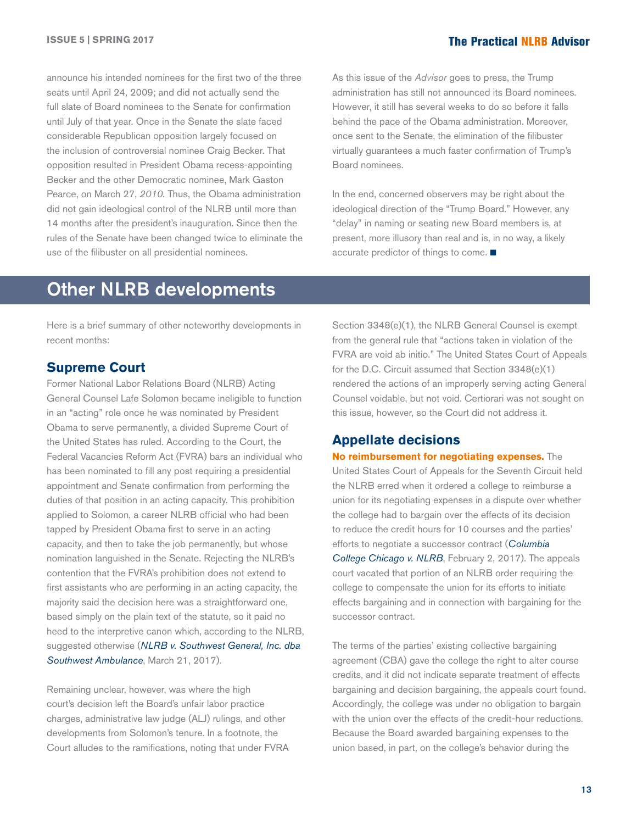<span id="page-12-0"></span>announce his intended nominees for the first two of the three seats until April 24, 2009; and did not actually send the full slate of Board nominees to the Senate for confirmation until July of that year. Once in the Senate the slate faced considerable Republican opposition largely focused on the inclusion of controversial nominee Craig Becker. That opposition resulted in President Obama recess-appointing Becker and the other Democratic nominee, Mark Gaston Pearce, on March 27, *2010.* Thus, the Obama administration did not gain ideological control of the NLRB until more than 14 months after the president's inauguration. Since then the rules of the Senate have been changed twice to eliminate the use of the filibuster on all presidential nominees.

As this issue of the *Advisor* goes to press, the Trump administration has still not announced its Board nominees. However, it still has several weeks to do so before it falls behind the pace of the Obama administration. Moreover, once sent to the Senate, the elimination of the filibuster virtually guarantees a much faster confirmation of Trump's Board nominees.

In the end, concerned observers may be right about the ideological direction of the "Trump Board." However, any "delay" in naming or seating new Board members is, at present, more illusory than real and is, in no way, a likely accurate predictor of things to come.  $\blacksquare$ 

## Other NLRB developments

Here is a brief summary of other noteworthy developments in recent months:

#### **Supreme Court**

Former National Labor Relations Board (NLRB) Acting General Counsel Lafe Solomon became ineligible to function in an "acting" role once he was nominated by President Obama to serve permanently, a divided Supreme Court of the United States has ruled. According to the Court, the Federal Vacancies Reform Act (FVRA) bars an individual who has been nominated to fill any post requiring a presidential appointment and Senate confirmation from performing the duties of that position in an acting capacity. This prohibition applied to Solomon, a career NLRB official who had been tapped by President Obama first to serve in an acting capacity, and then to take the job permanently, but whose nomination languished in the Senate. Rejecting the NLRB's contention that the FVRA's prohibition does not extend to first assistants who are performing in an acting capacity, the majority said the decision here was a straightforward one, based simply on the plain text of the statute, so it paid no heed to the interpretive canon which, according to the NLRB, suggested otherwise (*[NLRB v. Southwest General, Inc. dba](http://hr.cch.com/eld/NLRBSWGeneral032117.pdf)  [Southwest Ambulance](http://hr.cch.com/eld/NLRBSWGeneral032117.pdf)*, March 21, 2017).

Remaining unclear, however, was where the high court's decision left the Board's unfair labor practice charges, administrative law judge (ALJ) rulings, and other developments from Solomon's tenure. In a footnote, the Court alludes to the ramifications, noting that under FVRA

Section 3348(e)(1), the NLRB General Counsel is exempt from the general rule that "actions taken in violation of the FVRA are void ab initio." The United States Court of Appeals for the D.C. Circuit assumed that Section 3348(e)(1) rendered the actions of an improperly serving acting General Counsel voidable, but not void. Certiorari was not sought on this issue, however, so the Court did not address it.

#### **Appellate decisions**

#### **No reimbursement for negotiating expenses.** The

United States Court of Appeals for the Seventh Circuit held the NLRB erred when it ordered a college to reimburse a union for its negotiating expenses in a dispute over whether the college had to bargain over the effects of its decision to reduce the credit hours for 10 courses and the parties' efforts to negotiate a successor contract (*[Columbia](http://hr.cch.com/eld/ColumbiaNLRB020217.pdf)  [College Chicago v. NLRB](http://hr.cch.com/eld/ColumbiaNLRB020217.pdf)*, February 2, 2017). The appeals court vacated that portion of an NLRB order requiring the college to compensate the union for its efforts to initiate effects bargaining and in connection with bargaining for the successor contract.

The terms of the parties' existing collective bargaining agreement (CBA) gave the college the right to alter course credits, and it did not indicate separate treatment of effects bargaining and decision bargaining, the appeals court found. Accordingly, the college was under no obligation to bargain with the union over the effects of the credit-hour reductions. Because the Board awarded bargaining expenses to the union based, in part, on the college's behavior during the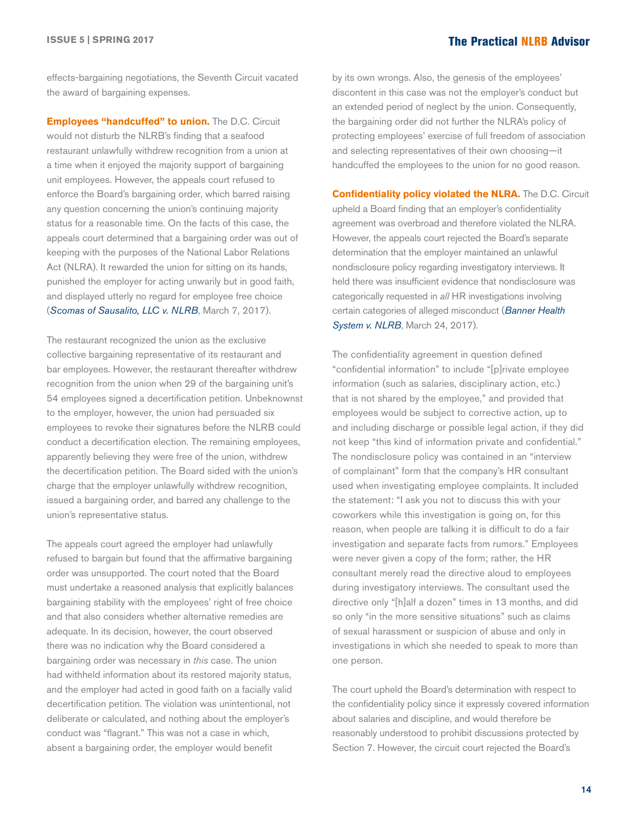effects-bargaining negotiations, the Seventh Circuit vacated the award of bargaining expenses.

**Employees "handcuffed" to union.** The D.C. Circuit would not disturb the NLRB's finding that a seafood restaurant unlawfully withdrew recognition from a union at a time when it enjoyed the majority support of bargaining unit employees. However, the appeals court refused to enforce the Board's bargaining order, which barred raising any question concerning the union's continuing majority status for a reasonable time. On the facts of this case, the appeals court determined that a bargaining order was out of keeping with the purposes of the National Labor Relations Act (NLRA). It rewarded the union for sitting on its hands, punished the employer for acting unwarily but in good faith, and displayed utterly no regard for employee free choice (*[Scomas of Sausalito, LLC v. NLRB](http://hr.cch.com/ELD/ScomasNLRB030717.pdf)*, March 7, 2017).

The restaurant recognized the union as the exclusive collective bargaining representative of its restaurant and bar employees. However, the restaurant thereafter withdrew recognition from the union when 29 of the bargaining unit's 54 employees signed a decertification petition. Unbeknownst to the employer, however, the union had persuaded six employees to revoke their signatures before the NLRB could conduct a decertification election. The remaining employees, apparently believing they were free of the union, withdrew the decertification petition. The Board sided with the union's charge that the employer unlawfully withdrew recognition, issued a bargaining order, and barred any challenge to the union's representative status.

The appeals court agreed the employer had unlawfully refused to bargain but found that the affirmative bargaining order was unsupported. The court noted that the Board must undertake a reasoned analysis that explicitly balances bargaining stability with the employees' right of free choice and that also considers whether alternative remedies are adequate. In its decision, however, the court observed there was no indication why the Board considered a bargaining order was necessary in *this* case. The union had withheld information about its restored majority status, and the employer had acted in good faith on a facially valid decertification petition. The violation was unintentional, not deliberate or calculated, and nothing about the employer's conduct was "flagrant." This was not a case in which, absent a bargaining order, the employer would benefit

by its own wrongs. Also, the genesis of the employees' discontent in this case was not the employer's conduct but an extended period of neglect by the union. Consequently, the bargaining order did not further the NLRA's policy of protecting employees' exercise of full freedom of association and selecting representatives of their own choosing—it handcuffed the employees to the union for no good reason.

**Confidentiality policy violated the NLRA.** The D.C. Circuit upheld a Board finding that an employer's confidentiality agreement was overbroad and therefore violated the NLRA. However, the appeals court rejected the Board's separate determination that the employer maintained an unlawful nondisclosure policy regarding investigatory interviews. It held there was insufficient evidence that nondisclosure was categorically requested in *all* HR investigations involving certain categories of alleged misconduct (*[Banner Health](http://hr.cch.com/ELD/BannerNLRB031417.pdf)  [System v. NLRB](http://hr.cch.com/ELD/BannerNLRB031417.pdf)*, March 24, 2017).

The confidentiality agreement in question defined "confidential information" to include "[p]rivate employee information (such as salaries, disciplinary action, etc.) that is not shared by the employee," and provided that employees would be subject to corrective action, up to and including discharge or possible legal action, if they did not keep "this kind of information private and confidential." The nondisclosure policy was contained in an "interview of complainant" form that the company's HR consultant used when investigating employee complaints. It included the statement: "I ask you not to discuss this with your coworkers while this investigation is going on, for this reason, when people are talking it is difficult to do a fair investigation and separate facts from rumors." Employees were never given a copy of the form; rather, the HR consultant merely read the directive aloud to employees during investigatory interviews. The consultant used the directive only "[h]alf a dozen" times in 13 months, and did so only "in the more sensitive situations" such as claims of sexual harassment or suspicion of abuse and only in investigations in which she needed to speak to more than one person.

The court upheld the Board's determination with respect to the confidentiality policy since it expressly covered information about salaries and discipline, and would therefore be reasonably understood to prohibit discussions protected by Section 7. However, the circuit court rejected the Board's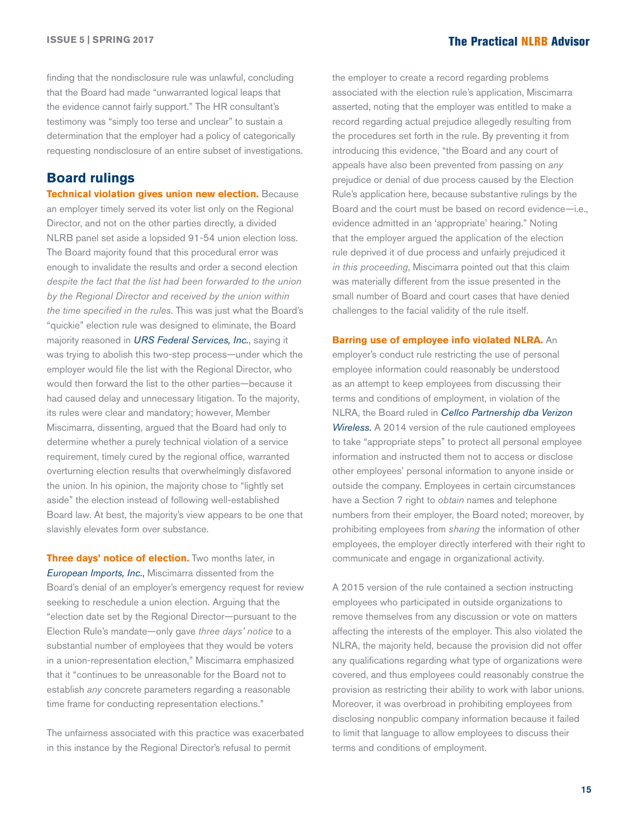finding that the nondisclosure rule was unlawful, concluding that the Board had made "unwarranted logical leaps that the evidence cannot fairly support." The HR consultant's testimony was "simply too terse and unclear" to sustain a determination that the employer had a policy of categorically requesting nondisclosure of an entire subset of investigations.

#### **Board rulings**

**Technical violation gives union new election.** Because an employer timely served its voter list only on the Regional Director, and not on the other parties directly, a divided NLRB panel set aside a lopsided 91-54 union election loss. The Board majority found that this procedural error was enough to invalidate the results and order a second election *despite the fact that the list had been forwarded to the union by the Regional Director and received by the union within the time specified in the rules.* This was just what the Board's "quickie" election rule was designed to eliminate, the Board majority reasoned in *[URS Federal Services, Inc.](http://hr.cch.com/eld/URSFederal120816.pdf)*, saying it was trying to abolish this two-step process—under which the employer would file the list with the Regional Director, who would then forward the list to the other parties—because it had caused delay and unnecessary litigation. To the majority, its rules were clear and mandatory; however, Member Miscimarra, dissenting, argued that the Board had only to determine whether a purely technical violation of a service requirement, timely cured by the regional office, warranted overturning election results that overwhelmingly disfavored the union. In his opinion, the majority chose to "lightly set aside" the election instead of following well-established Board law. At best, the majority's view appears to be one that slavishly elevates form over substance.

**Three days' notice of election.** Two months later, in *[European Imports, Inc.](http://hr.cch.com/ELD/EuropeanImports022317.pdf)*, Miscimarra dissented from the Board's denial of an employer's emergency request for review seeking to reschedule a union election. Arguing that the "election date set by the Regional Director—pursuant to the Election Rule's mandate—only gave *three days' notice* to a substantial number of employees that they would be voters in a union-representation election," Miscimarra emphasized that it "continues to be unreasonable for the Board not to establish *any* concrete parameters regarding a reasonable time frame for conducting representation elections."

The unfairness associated with this practice was exacerbated in this instance by the Regional Director's refusal to permit

the employer to create a record regarding problems associated with the election rule's application, Miscimarra asserted, noting that the employer was entitled to make a record regarding actual prejudice allegedly resulting from the procedures set forth in the rule. By preventing it from introducing this evidence, "the Board and any court of appeals have also been prevented from passing on *any*  prejudice or denial of due process caused by the Election Rule's application here, because substantive rulings by the Board and the court must be based on record evidence—i.e., evidence admitted in an 'appropriate' hearing." Noting that the employer argued the application of the election rule deprived it of due process and unfairly prejudiced it *in this proceeding*, Miscimarra pointed out that this claim was materially different from the issue presented in the small number of Board and court cases that have denied challenges to the facial validity of the rule itself.

#### **Barring use of employee info violated NLRA.** An

employer's conduct rule restricting the use of personal employee information could reasonably be understood as an attempt to keep employees from discussing their terms and conditions of employment, in violation of the NLRA, the Board ruled in *[Cellco Partnership dba Verizon](http://hr.cch.com/ELD/CellcoPartnership022417.pdf)  [Wireless](http://hr.cch.com/ELD/CellcoPartnership022417.pdf).* A 2014 version of the rule cautioned employees to take "appropriate steps" to protect all personal employee information and instructed them not to access or disclose other employees' personal information to anyone inside or outside the company. Employees in certain circumstances have a Section 7 right to *obtain* names and telephone numbers from their employer, the Board noted; moreover, by prohibiting employees from *sharing* the information of other employees, the employer directly interfered with their right to communicate and engage in organizational activity.

A 2015 version of the rule contained a section instructing employees who participated in outside organizations to remove themselves from any discussion or vote on matters affecting the interests of the employer. This also violated the NLRA, the majority held, because the provision did not offer any qualifications regarding what type of organizations were covered, and thus employees could reasonably construe the provision as restricting their ability to work with labor unions. Moreover, it was overbroad in prohibiting employees from disclosing nonpublic company information because it failed to limit that language to allow employees to discuss their terms and conditions of employment.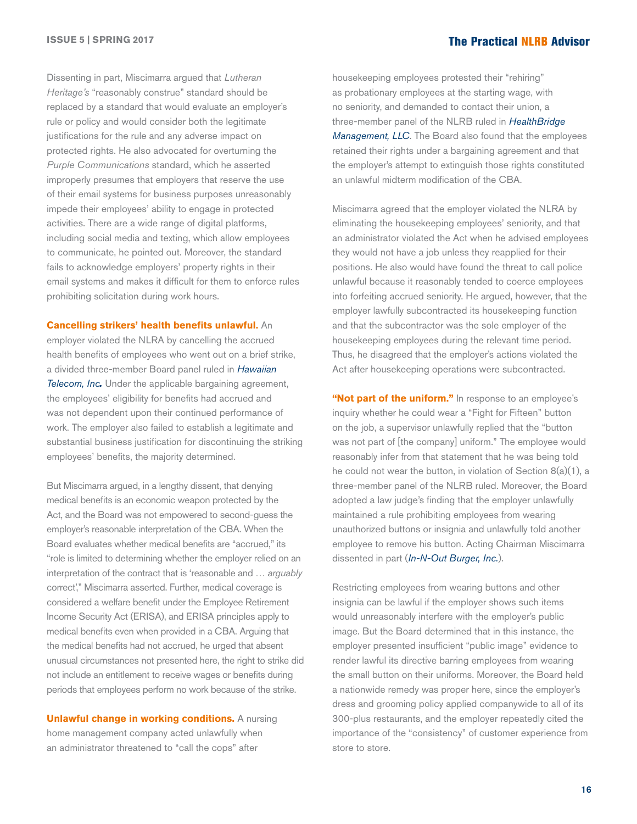Dissenting in part, Miscimarra argued that *Lutheran Heritage's* "reasonably construe" standard should be replaced by a standard that would evaluate an employer's rule or policy and would consider both the legitimate justifications for the rule and any adverse impact on protected rights. He also advocated for overturning the *Purple Communications* standard, which he asserted improperly presumes that employers that reserve the use of their email systems for business purposes unreasonably impede their employees' ability to engage in protected activities. There are a wide range of digital platforms, including social media and texting, which allow employees to communicate, he pointed out. Moreover, the standard fails to acknowledge employers' property rights in their email systems and makes it difficult for them to enforce rules prohibiting solicitation during work hours.

**Cancelling strikers' health benefits unlawful.** An employer violated the NLRA by cancelling the accrued health benefits of employees who went out on a brief strike, a divided three-member Board panel ruled in *[Hawaiian](http://hr.cch.com/ELD/HawaiianTelecom022217.pdf)  [Telecom, Inc](http://hr.cch.com/ELD/HawaiianTelecom022217.pdf).* Under the applicable bargaining agreement, the employees' eligibility for benefits had accrued and was not dependent upon their continued performance of work. The employer also failed to establish a legitimate and substantial business justification for discontinuing the striking employees' benefits, the majority determined.

But Miscimarra argued, in a lengthy dissent, that denying medical benefits is an economic weapon protected by the Act, and the Board was not empowered to second-guess the employer's reasonable interpretation of the CBA. When the Board evaluates whether medical benefits are "accrued," its "role is limited to determining whether the employer relied on an interpretation of the contract that is 'reasonable and … *arguably* correct'," Miscimarra asserted. Further, medical coverage is considered a welfare benefit under the Employee Retirement Income Security Act (ERISA), and ERISA principles apply to medical benefits even when provided in a CBA. Arguing that the medical benefits had not accrued, he urged that absent unusual circumstances not presented here, the right to strike did not include an entitlement to receive wages or benefits during periods that employees perform no work because of the strike.

**Unlawful change in working conditions.** A nursing home management company acted unlawfully when an administrator threatened to "call the cops" after

housekeeping employees protested their "rehiring" as probationary employees at the starting wage, with no seniority, and demanded to contact their union, a three-member panel of the NLRB ruled in *[HealthBridge](http://hr.cch.com/ELD/HealthbridgeManagement022217.pdf)  [Management, LLC](http://hr.cch.com/ELD/HealthbridgeManagement022217.pdf)*. The Board also found that the employees retained their rights under a bargaining agreement and that the employer's attempt to extinguish those rights constituted an unlawful midterm modification of the CBA.

Miscimarra agreed that the employer violated the NLRA by eliminating the housekeeping employees' seniority, and that an administrator violated the Act when he advised employees they would not have a job unless they reapplied for their positions. He also would have found the threat to call police unlawful because it reasonably tended to coerce employees into forfeiting accrued seniority. He argued, however, that the employer lawfully subcontracted its housekeeping function and that the subcontractor was the sole employer of the housekeeping employees during the relevant time period. Thus, he disagreed that the employer's actions violated the Act after housekeeping operations were subcontracted.

"**Not part of the uniform."** In response to an employee's inquiry whether he could wear a "Fight for Fifteen" button on the job, a supervisor unlawfully replied that the "button was not part of [the company] uniform." The employee would reasonably infer from that statement that he was being told he could not wear the button, in violation of Section 8(a)(1), a three-member panel of the NLRB ruled. Moreover, the Board adopted a law judge's finding that the employer unlawfully maintained a rule prohibiting employees from wearing unauthorized buttons or insignia and unlawfully told another employee to remove his button. Acting Chairman Miscimarra dissented in part (*[In-N-Out Burger, Inc.](http://hr.cch.com/eld/InNOutBurger032117.pdf)*).

Restricting employees from wearing buttons and other insignia can be lawful if the employer shows such items would unreasonably interfere with the employer's public image. But the Board determined that in this instance, the employer presented insufficient "public image" evidence to render lawful its directive barring employees from wearing the small button on their uniforms. Moreover, the Board held a nationwide remedy was proper here, since the employer's dress and grooming policy applied companywide to all of its 300-plus restaurants, and the employer repeatedly cited the importance of the "consistency" of customer experience from store to store.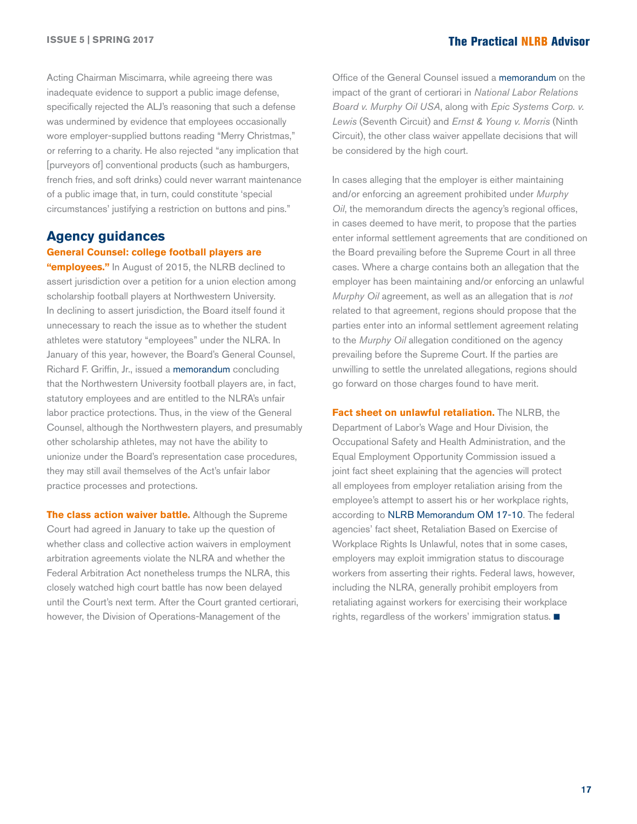Acting Chairman Miscimarra, while agreeing there was inadequate evidence to support a public image defense, specifically rejected the ALJ's reasoning that such a defense was undermined by evidence that employees occasionally wore employer-supplied buttons reading "Merry Christmas," or referring to a charity. He also rejected "any implication that [purveyors of] conventional products (such as hamburgers, french fries, and soft drinks) could never warrant maintenance of a public image that, in turn, could constitute 'special circumstances' justifying a restriction on buttons and pins."

### **Agency guidances**

#### **General Counsel: college football players are**

**"employees."** In August of 2015, the NLRB declined to assert jurisdiction over a petition for a union election among scholarship football players at Northwestern University. In declining to assert jurisdiction, the Board itself found it unnecessary to reach the issue as to whether the student athletes were statutory "employees" under the NLRA. In January of this year, however, the Board's General Counsel, Richard F. Griffin, Jr., issued a [memorandum](http://hr.cch.com/ELD/GCMemo17_01.pdf) concluding that the Northwestern University football players are, in fact, statutory employees and are entitled to the NLRA's unfair labor practice protections. Thus, in the view of the General Counsel, although the Northwestern players, and presumably other scholarship athletes, may not have the ability to unionize under the Board's representation case procedures, they may still avail themselves of the Act's unfair labor practice processes and protections.

**The class action waiver battle.** Although the Supreme Court had agreed in January to take up the question of whether class and collective action waivers in employment arbitration agreements violate the NLRA and whether the Federal Arbitration Act nonetheless trumps the NLRA, this closely watched high court battle has now been delayed until the Court's next term. After the Court granted certiorari, however, the Division of Operations-Management of the

Office of the General Counsel issued a [memorandum](http://hr.cch.com/ELD/NLRBMemoImpactCertInNLRB-MurphyOilUSA.pdf) on the impact of the grant of certiorari in *National Labor Relations Board v. Murphy Oil USA*, along with *Epic Systems Corp. v. Lewis* (Seventh Circuit) and *Ernst & Young v. Morris* (Ninth Circuit), the other class waiver appellate decisions that will be considered by the high court.

In cases alleging that the employer is either maintaining and/or enforcing an agreement prohibited under *Murphy Oil*, the memorandum directs the agency's regional offices, in cases deemed to have merit, to propose that the parties enter informal settlement agreements that are conditioned on the Board prevailing before the Supreme Court in all three cases. Where a charge contains both an allegation that the employer has been maintaining and/or enforcing an unlawful *Murphy Oil* agreement, as well as an allegation that is *not* related to that agreement, regions should propose that the parties enter into an informal settlement agreement relating to the *Murphy Oil* allegation conditioned on the agency prevailing before the Supreme Court. If the parties are unwilling to settle the unrelated allegations, regions should go forward on those charges found to have merit.

**Fact sheet on unlawful retaliation.** The NLRB, the Department of Labor's Wage and Hour Division, the Occupational Safety and Health Administration, and the Equal Employment Opportunity Commission issued a joint fact sheet explaining that the agencies will protect all employees from employer retaliation arising from the employee's attempt to assert his or her workplace rights, according to [NLRB Memorandum OM 17-10.](http://hr.cch.com/ELD/JointNLRB-DOL-EEOCFactSheetRetaliation.pdf) The federal agencies' fact sheet, Retaliation Based on Exercise of Workplace Rights Is Unlawful, notes that in some cases, employers may exploit immigration status to discourage workers from asserting their rights. Federal laws, however, including the NLRA, generally prohibit employers from retaliating against workers for exercising their workplace rights, regardless of the workers' immigration status.  $\blacksquare$